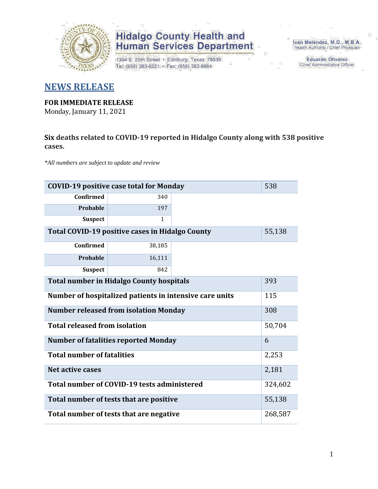

1304 S. 25th Street · Edinburg, Texas 78539 Tel: (956) 383-6221 · Fax: (956) 383-8864

Iván Meléndez, M.D., M.B.A. Health Authority / Chief Physician

> **Eduardo Olivarez** Chief Administrative Officer

### **NEWS RELEASE**

#### **FOR IMMEDIATE RELEASE**

Monday, January 11, 2021

#### **Six deaths related to COVID-19 reported in Hidalgo County along with 538 positive cases.**

*\*All numbers are subject to update and review*

| 538<br><b>COVID-19 positive case total for Monday</b>     |                                             |  |         |  |  |  |  |  |  |
|-----------------------------------------------------------|---------------------------------------------|--|---------|--|--|--|--|--|--|
| <b>Confirmed</b>                                          | 340                                         |  |         |  |  |  |  |  |  |
| Probable                                                  | 197                                         |  |         |  |  |  |  |  |  |
| <b>Suspect</b>                                            | $\mathbf{1}$                                |  |         |  |  |  |  |  |  |
| Total COVID-19 positive cases in Hidalgo County<br>55,138 |                                             |  |         |  |  |  |  |  |  |
| <b>Confirmed</b>                                          | 38,185                                      |  |         |  |  |  |  |  |  |
| Probable                                                  | 16,111                                      |  |         |  |  |  |  |  |  |
| <b>Suspect</b>                                            | 842                                         |  |         |  |  |  |  |  |  |
| <b>Total number in Hidalgo County hospitals</b>           |                                             |  |         |  |  |  |  |  |  |
| Number of hospitalized patients in intensive care units   |                                             |  |         |  |  |  |  |  |  |
| <b>Number released from isolation Monday</b><br>308       |                                             |  |         |  |  |  |  |  |  |
| <b>Total released from isolation</b>                      |                                             |  | 50,704  |  |  |  |  |  |  |
|                                                           | <b>Number of fatalities reported Monday</b> |  | 6       |  |  |  |  |  |  |
| <b>Total number of fatalities</b>                         |                                             |  | 2,253   |  |  |  |  |  |  |
| <b>Net active cases</b>                                   |                                             |  | 2,181   |  |  |  |  |  |  |
|                                                           | Total number of COVID-19 tests administered |  | 324,602 |  |  |  |  |  |  |
| 55,138<br>Total number of tests that are positive         |                                             |  |         |  |  |  |  |  |  |
| Total number of tests that are negative                   |                                             |  |         |  |  |  |  |  |  |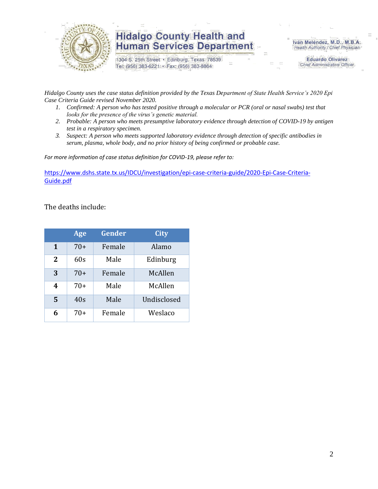

1304 S. 25th Street · Edinburg, Texas 78539 Tel: (956) 383-6221 · Fax: (956) 383-8864

Iván Meléndez, M.D., M.B.A. Health Authority / Chief Physician

> **Eduardo Olivarez** Chief Administrative Officer

*Hidalgo County uses the case status definition provided by the Texas Department of State Health Service's 2020 Epi Case Criteria Guide revised November 2020.*

- *1. Confirmed: A person who has tested positive through a molecular or PCR (oral or nasal swabs) test that looks for the presence of the virus's genetic material.*
- *2. Probable: A person who meets presumptive laboratory evidence through detection of COVID-19 by antigen test in a respiratory specimen.*
- *3. Suspect: A person who meets supported laboratory evidence through detection of specific antibodies in serum, plasma, whole body, and no prior history of being confirmed or probable case.*

*For more information of case status definition for COVID-19, please refer to:*

[https://www.dshs.state.tx.us/IDCU/investigation/epi-case-criteria-guide/2020-Epi-Case-Criteria-](https://www.dshs.state.tx.us/IDCU/investigation/epi-case-criteria-guide/2020-Epi-Case-Criteria-Guide.pdf)[Guide.pdf](https://www.dshs.state.tx.us/IDCU/investigation/epi-case-criteria-guide/2020-Epi-Case-Criteria-Guide.pdf)

The deaths include:

|              | Age   | <b>Gender</b> | City        |
|--------------|-------|---------------|-------------|
| $\mathbf{1}$ | $70+$ | Female        | Alamo       |
| $\mathbf{2}$ | 60s   | Male          | Edinburg    |
| 3            | $70+$ | Female        | McAllen     |
| 4            | $70+$ | Male          | McAllen     |
| 5            | 40s   | Male          | Undisclosed |
| 6            | $70+$ | Female        | Weslaco     |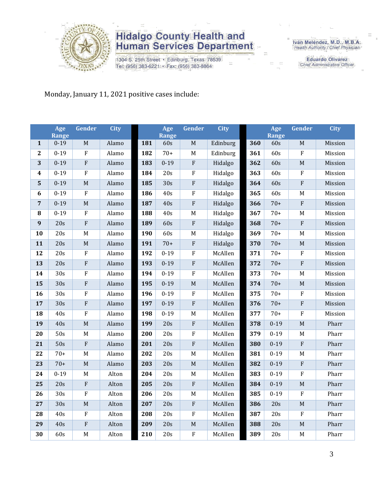

1304 S. 25th Street · Edinburg, Texas 78539 Tel: (956) 383-6221 · Fax: (956) 383-8864

Iván Meléndez, M.D., M.B.A. Health Authority / Chief Physician

> Eduardo Olivarez Chief Administrative Officer

#### Monday, January 11, 2021 positive cases include:

|                         | Age               | <b>Gender</b>             | City  |     | Age              | <b>Gender</b>           | <b>City</b> |     | Age          | <b>Gender</b>  | <b>City</b> |
|-------------------------|-------------------|---------------------------|-------|-----|------------------|-------------------------|-------------|-----|--------------|----------------|-------------|
| $\mathbf{1}$            | Range<br>$0 - 19$ | M                         | Alamo | 181 | Range<br>60s     | M                       | Edinburg    | 360 | Range<br>60s | M              | Mission     |
| $\mathbf{2}$            | $0 - 19$          | $\rm F$                   | Alamo | 182 | $70+$            | M                       | Edinburg    | 361 | 60s          | $\rm F$        |             |
|                         |                   |                           |       |     |                  |                         |             |     |              |                | Mission     |
| 3                       | $0 - 19$          | ${\bf F}$                 | Alamo | 183 | $0 - 19$         | ${\bf F}$               | Hidalgo     | 362 | 60s          | $\mathbf M$    | Mission     |
| $\boldsymbol{4}$        | $0 - 19$          | $\boldsymbol{\mathrm{F}}$ | Alamo | 184 | 20s              | $\rm F$                 | Hidalgo     | 363 | 60s          | $\rm F$        | Mission     |
| $\overline{\mathbf{5}}$ | $0 - 19$          | M                         | Alamo | 185 | $\overline{30s}$ | ${\bf F}$               | Hidalgo     | 364 | 60s          | $\rm F$        | Mission     |
| 6                       | $0 - 19$          | ${\bf F}$                 | Alamo | 186 | 40s              | ${\bf F}$               | Hidalgo     | 365 | 60s          | M              | Mission     |
| $\overline{7}$          | $0 - 19$          | $\mathbf M$               | Alamo | 187 | 40s              | $\rm F$                 | Hidalgo     | 366 | $70+$        | $\rm F$        | Mission     |
| ${\bf 8}$               | $0 - 19$          | $\rm F$                   | Alamo | 188 | 40s              | $\mathbf M$             | Hidalgo     | 367 | $70+$        | $\mathbf M$    | Mission     |
| 9                       | 20s               | $\overline{\mathrm{F}}$   | Alamo | 189 | 60s              | ${\bf F}$               | Hidalgo     | 368 | $70+$        | $\rm F$        | Mission     |
| 10                      | 20s               | M                         | Alamo | 190 | 60s              | M                       | Hidalgo     | 369 | $70+$        | M              | Mission     |
| 11                      | 20s               | $\mathbf M$               | Alamo | 191 | $70+$            | ${\bf F}$               | Hidalgo     | 370 | $70+$        | $\mathbf M$    | Mission     |
| 12                      | 20s               | $\rm F$                   | Alamo | 192 | $0 - 19$         | $\rm F$                 | McAllen     | 371 | $70+$        | $\overline{F}$ | Mission     |
| 13                      | 20s               | ${\bf F}$                 | Alamo | 193 | $0 - 19$         | ${\bf F}$               | McAllen     | 372 | $70+$        | $\rm F$        | Mission     |
| 14                      | 30s               | $\rm F$                   | Alamo | 194 | $0 - 19$         | ${\bf F}$               | McAllen     | 373 | $70+$        | M              | Mission     |
| 15                      | 30s               | ${\bf F}$                 | Alamo | 195 | $0 - 19$         | $\mathbf M$             | McAllen     | 374 | $70+$        | $\mathbf M$    | Mission     |
| 16                      | 30s               | $\boldsymbol{\mathrm{F}}$ | Alamo | 196 | $0 - 19$         | $\rm F$                 | McAllen     | 375 | $70+$        | $\rm F$        | Mission     |
| 17                      | 30s               | ${\bf F}$                 | Alamo | 197 | $0 - 19$         | $\rm F$                 | McAllen     | 376 | $70+$        | $\overline{F}$ | Mission     |
| 18                      | 40s               | $\rm F$                   | Alamo | 198 | $0 - 19$         | $\mathbf M$             | McAllen     | 377 | $70+$        | $\rm F$        | Mission     |
| 19                      | 40s               | $\mathbf M$               | Alamo | 199 | 20s              | ${\bf F}$               | McAllen     | 378 | $0 - 19$     | $\mathbf M$    | Pharr       |
| 20                      | $\overline{50s}$  | M                         | Alamo | 200 | 20s              | $\mathbf F$             | McAllen     | 379 | $0 - 19$     | M              | Pharr       |
| 21                      | 50s               | $\overline{\mathrm{F}}$   | Alamo | 201 | 20s              | ${\bf F}$               | McAllen     | 380 | $0 - 19$     | $\rm F$        | Pharr       |
| 22                      | $70+$             | $\mathbf M$               | Alamo | 202 | 20s              | $\mathbf M$             | McAllen     | 381 | $0 - 19$     | $\mathbf M$    | Pharr       |
| 23                      | $70+$             | M                         | Alamo | 203 | 20s              | $\mathbf M$             | McAllen     | 382 | $0 - 19$     | $\rm F$        | Pharr       |
| 24                      | $0 - 19$          | M                         | Alton | 204 | 20s              | M                       | McAllen     | 383 | $0 - 19$     | $\rm F$        | Pharr       |
| 25                      | $\overline{20s}$  | $\overline{\mathrm{F}}$   | Alton | 205 | 20s              | $\overline{\mathrm{F}}$ | McAllen     | 384 | $0 - 19$     | $\overline{M}$ | Pharr       |
| 26                      | 30s               | $\rm F$                   | Alton | 206 | 20s              | $\mathbf M$             | McAllen     | 385 | $0 - 19$     | $\rm F$        | Pharr       |
| 27                      | 30s               | $\mathbf M$               | Alton | 207 | 20s              | ${\bf F}$               | McAllen     | 386 | 20s          | $\mathbf M$    | Pharr       |
| 28                      | 40s               | $\rm F$                   | Alton | 208 | 20s              | ${\bf F}$               | McAllen     | 387 | 20s          | $\rm F$        | Pharr       |
| 29                      | 40s               | $\rm F$                   | Alton | 209 | 20s              | $\mathbf M$             | McAllen     | 388 | 20s          | $\mathbf M$    | Pharr       |
| 30                      | 60s               | $\mathbf M$               | Alton | 210 | 20s              | $\rm F$                 | McAllen     | 389 | 20s          | $\mathbf M$    | Pharr       |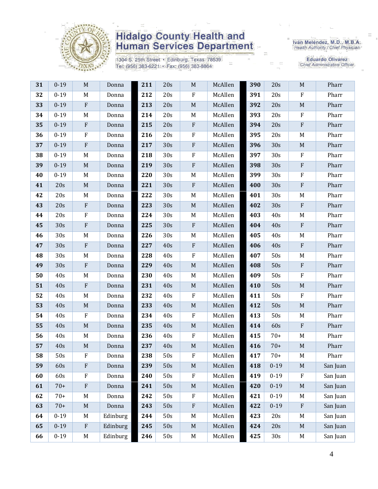

1304 S. 25th Street · Edinburg, Texas 78539 Tel: (956) 383-6221 · Fax: (956) 383-8864

Iván Meléndez, M.D., M.B.A.<br>Health Authority / Chief Physician

| 31 | $0 - 19$ | M                         | Donna    | 211 | 20s             | M           | McAllen | 390 | 20s      | M                         | Pharr    |
|----|----------|---------------------------|----------|-----|-----------------|-------------|---------|-----|----------|---------------------------|----------|
| 32 | $0 - 19$ | M                         | Donna    | 212 | 20s             | $\rm F$     | McAllen | 391 | 20s      | $\mathbf{F}$              | Pharr    |
| 33 | $0 - 19$ | $\boldsymbol{\mathrm{F}}$ | Donna    | 213 | 20s             | $M_{\odot}$ | McAllen | 392 | 20s      | $\mathbf M$               | Pharr    |
| 34 | $0 - 19$ | M                         | Donna    | 214 | 20s             | M           | McAllen | 393 | 20s      | $\rm F$                   | Pharr    |
| 35 | $0 - 19$ | $\boldsymbol{\mathrm{F}}$ | Donna    | 215 | 20s             | ${\bf F}$   | McAllen | 394 | 20s      | $\rm F$                   | Pharr    |
| 36 | $0 - 19$ | $\mathbf F$               | Donna    | 216 | 20s             | F           | McAllen | 395 | 20s      | M                         | Pharr    |
| 37 | $0 - 19$ | $\boldsymbol{\mathrm{F}}$ | Donna    | 217 | 30s             | ${\bf F}$   | McAllen | 396 | 30s      | $\mathbf M$               | Pharr    |
| 38 | $0 - 19$ | M                         | Donna    | 218 | 30 <sub>s</sub> | ${\bf F}$   | McAllen | 397 | 30s      | $\rm F$                   | Pharr    |
| 39 | $0 - 19$ | $\mathbf M$               | Donna    | 219 | 30s             | ${\bf F}$   | McAllen | 398 | 30s      | $\, {\bf F}$              | Pharr    |
| 40 | $0 - 19$ | M                         | Donna    | 220 | 30s             | M           | McAllen | 399 | 30s      | $\rm F$                   | Pharr    |
| 41 | 20s      | $\mathbf M$               | Donna    | 221 | 30s             | ${\bf F}$   | McAllen | 400 | 30s      | $\rm F$                   | Pharr    |
| 42 | 20s      | M                         | Donna    | 222 | 30 <sub>s</sub> | M           | McAllen | 401 | 30s      | M                         | Pharr    |
| 43 | 20s      | ${\bf F}$                 | Donna    | 223 | 30s             | $\mathbf M$ | McAllen | 402 | 30s      | $\mathbf{F}$              | Pharr    |
| 44 | 20s      | $\mathbf F$               | Donna    | 224 | 30 <sub>s</sub> | M           | McAllen | 403 | 40s      | M                         | Pharr    |
| 45 | 30s      | $\boldsymbol{\mathrm{F}}$ | Donna    | 225 | 30s             | ${\bf F}$   | McAllen | 404 | 40s      | $\rm F$                   | Pharr    |
| 46 | 30s      | M                         | Donna    | 226 | 30 <sub>s</sub> | M           | McAllen | 405 | 40s      | M                         | Pharr    |
| 47 | 30s      | $\boldsymbol{\mathrm{F}}$ | Donna    | 227 | 40s             | ${\bf F}$   | McAllen | 406 | 40s      | $\mathbf{F}$              | Pharr    |
| 48 | 30s      | M                         | Donna    | 228 | 40s             | ${\bf F}$   | McAllen | 407 | 50s      | M                         | Pharr    |
| 49 | 30s      | $\boldsymbol{\mathrm{F}}$ | Donna    | 229 | 40s             | $\mathbf M$ | McAllen | 408 | 50s      | $\boldsymbol{\mathrm{F}}$ | Pharr    |
| 50 | 40s      | M                         | Donna    | 230 | 40s             | M           | McAllen | 409 | 50s      | $\mathbf{F}$              | Pharr    |
| 51 | 40s      | ${\bf F}$                 | Donna    | 231 | 40s             | $\mathbf M$ | McAllen | 410 | 50s      | $\mathbf M$               | Pharr    |
| 52 | 40s      | M                         | Donna    | 232 | 40s             | ${\bf F}$   | McAllen | 411 | 50s      | $\mathbf{F}$              | Pharr    |
| 53 | 40s      | $\mathbf M$               | Donna    | 233 | 40s             | $\mathbf M$ | McAllen | 412 | 50s      | $\mathbf M$               | Pharr    |
| 54 | 40s      | $\mathbf F$               | Donna    | 234 | 40s             | $\rm F$     | McAllen | 413 | 50s      | M                         | Pharr    |
| 55 | 40s      | $\mathbf M$               | Donna    | 235 | 40s             | $\mathbf M$ | McAllen | 414 | 60s      | $\mathbf{F}$              | Pharr    |
| 56 | 40s      | M                         | Donna    | 236 | 40s             | ${\bf F}$   | McAllen | 415 | $70+$    | M                         | Pharr    |
| 57 | 40s      | $\mathbf M$               | Donna    | 237 | 40s             | $\mathbf M$ | McAllen | 416 | $70+$    | $\mathbf M$               | Pharr    |
| 58 | 50s      | F                         | Donna    | 238 | 50s             | ${\bf F}$   | McAllen | 417 | $70+$    | M                         | Pharr    |
| 59 | 60s      | $\rm F$                   | Donna    | 239 | 50s             | $\mathbf M$ | McAllen | 418 | $0 - 19$ | $\mathbf M$               | San Juan |
| 60 | 60s      | ${\bf F}$                 | Donna    | 240 | 50s             | ${\bf F}$   | McAllen | 419 | $0 - 19$ | ${\bf F}$                 | San Juan |
| 61 | $70+$    | $\boldsymbol{\mathrm{F}}$ | Donna    | 241 | 50s             | $\mathbf M$ | McAllen | 420 | $0 - 19$ | $\mathbf M$               | San Juan |
| 62 | $70+$    | M                         | Donna    | 242 | 50s             | $\rm F$     | McAllen | 421 | $0 - 19$ | M                         | San Juan |
| 63 | $70+$    | $\mathbf M$               | Donna    | 243 | 50s             | ${\bf F}$   | McAllen | 422 | $0 - 19$ | $\rm F$                   | San Juan |
| 64 | $0 - 19$ | M                         | Edinburg | 244 | 50s             | M           | McAllen | 423 | 20s      | M                         | San Juan |
| 65 | $0 - 19$ | $\rm F$                   | Edinburg | 245 | 50s             | $\mathbf M$ | McAllen | 424 | 20s      | M                         | San Juan |
| 66 | $0 - 19$ | M                         | Edinburg | 246 | 50s             | M           | McAllen | 425 | 30s      | M                         | San Juan |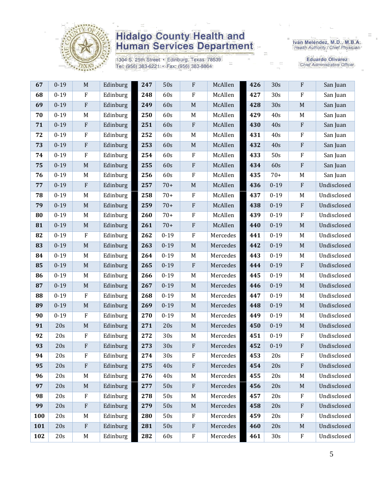

1304 S. 25th Street · Edinburg, Texas 78539 Tel: (956) 383-6221 · Fax: (956) 383-8864

Iván Meléndez, M.D., M.B.A.<br>Health Authority / Chief Physician

| 67  | $0 - 19$ | $\mathbf M$ | Edinburg | 247 | 50s      | ${\bf F}$   | McAllen  | 426 | 30s      | ${\bf F}$   | San Juan    |
|-----|----------|-------------|----------|-----|----------|-------------|----------|-----|----------|-------------|-------------|
| 68  | $0 - 19$ | $\rm F$     | Edinburg | 248 | 60s      | ${\bf F}$   | McAllen  | 427 | 30s      | ${\bf F}$   | San Juan    |
| 69  | $0-19$   | $\rm F$     | Edinburg | 249 | 60s      | $\mathbf M$ | McAllen  | 428 | 30s      | $\mathbf M$ | San Juan    |
| 70  | $0 - 19$ | $\mathbf M$ | Edinburg | 250 | 60s      | $\mathbf M$ | McAllen  | 429 | 40s      | $\mathbf M$ | San Juan    |
| 71  | $0 - 19$ | $\rm F$     | Edinburg | 251 | 60s      | ${\bf F}$   | McAllen  | 430 | 40s      | ${\bf F}$   | San Juan    |
| 72  | $0 - 19$ | $\rm F$     | Edinburg | 252 | 60s      | M           | McAllen  | 431 | 40s      | F           | San Juan    |
| 73  | $0 - 19$ | $\rm F$     | Edinburg | 253 | 60s      | $\mathbf M$ | McAllen  | 432 | 40s      | ${\bf F}$   | San Juan    |
| 74  | $0 - 19$ | $\rm F$     | Edinburg | 254 | 60s      | ${\bf F}$   | McAllen  | 433 | 50s      | ${\bf F}$   | San Juan    |
| 75  | $0 - 19$ | $\mathbf M$ | Edinburg | 255 | 60s      | ${\bf F}$   | McAllen  | 434 | 60s      | ${\bf F}$   | San Juan    |
| 76  | $0 - 19$ | M           | Edinburg | 256 | 60s      | $\rm F$     | McAllen  | 435 | $70+$    | M           | San Juan    |
| 77  | $0 - 19$ | $\rm F$     | Edinburg | 257 | $70+$    | $\mathbf M$ | McAllen  | 436 | $0 - 19$ | ${\bf F}$   | Undisclosed |
| 78  | $0 - 19$ | M           | Edinburg | 258 | $70+$    | $\rm F$     | McAllen  | 437 | $0 - 19$ | $\mathbf M$ | Undisclosed |
| 79  | $0 - 19$ | $\mathbf M$ | Edinburg | 259 | $70+$    | $\rm F$     | McAllen  | 438 | $0 - 19$ | ${\bf F}$   | Undisclosed |
| 80  | $0 - 19$ | M           | Edinburg | 260 | $70+$    | ${\bf F}$   | McAllen  | 439 | $0 - 19$ | ${\bf F}$   | Undisclosed |
| 81  | $0 - 19$ | $\mathbf M$ | Edinburg | 261 | $70+$    | $\rm F$     | McAllen  | 440 | $0 - 19$ | $\mathbf M$ | Undisclosed |
| 82  | $0 - 19$ | $\rm F$     | Edinburg | 262 | $0 - 19$ | ${\bf F}$   | Mercedes | 441 | $0 - 19$ | M           | Undisclosed |
| 83  | $0 - 19$ | M           | Edinburg | 263 | $0 - 19$ | $\mathbf M$ | Mercedes | 442 | $0 - 19$ | $\mathbf M$ | Undisclosed |
| 84  | $0 - 19$ | M           | Edinburg | 264 | $0 - 19$ | $\mathbf M$ | Mercedes | 443 | $0 - 19$ | M           | Undisclosed |
| 85  | $0 - 19$ | $\mathbf M$ | Edinburg | 265 | $0 - 19$ | ${\bf F}$   | Mercedes | 444 | $0 - 19$ | ${\bf F}$   | Undisclosed |
| 86  | $0 - 19$ | M           | Edinburg | 266 | $0 - 19$ | $\mathbf M$ | Mercedes | 445 | $0 - 19$ | M           | Undisclosed |
| 87  | $0 - 19$ | $\mathbf M$ | Edinburg | 267 | $0 - 19$ | $\mathbf M$ | Mercedes | 446 | $0 - 19$ | M           | Undisclosed |
| 88  | $0 - 19$ | $\rm F$     | Edinburg | 268 | $0 - 19$ | $\mathbf M$ | Mercedes | 447 | $0 - 19$ | M           | Undisclosed |
| 89  | $0 - 19$ | M           | Edinburg | 269 | $0 - 19$ | $\mathbf M$ | Mercedes | 448 | $0 - 19$ | $\mathbf M$ | Undisclosed |
| 90  | $0 - 19$ | $\rm F$     | Edinburg | 270 | $0 - 19$ | M           | Mercedes | 449 | $0 - 19$ | M           | Undisclosed |
| 91  | 20s      | $\mathbf M$ | Edinburg | 271 | 20s      | $\mathbf M$ | Mercedes | 450 | $0 - 19$ | $\mathbf M$ | Undisclosed |
| 92  | 20s      | $\rm F$     | Edinburg | 272 | 30s      | M           | Mercedes | 451 | $0 - 19$ | ${\bf F}$   | Undisclosed |
| 93  | 20s      | $\rm F$     | Edinburg | 273 | 30s      | $\rm F$     | Mercedes | 452 | $0 - 19$ | ${\bf F}$   | Undisclosed |
| 94  | 20s      | F           | Edinburg | 274 | 30s      | ${\bf F}$   | Mercedes | 453 | 20s      | ${\bf F}$   | Undisclosed |
| 95  | 20s      | ${\bf F}$   | Edinburg | 275 | 40s      | ${\bf F}$   | Mercedes | 454 | 20s      | ${\bf F}$   | Undisclosed |
| 96  | 20s      | M           | Edinburg | 276 | 40s      | M           | Mercedes | 455 | 20s      | M           | Undisclosed |
| 97  | 20s      | $\mathbf M$ | Edinburg | 277 | 50s      | $\rm F$     | Mercedes | 456 | 20s      | $\mathbf M$ | Undisclosed |
| 98  | 20s      | $\rm F$     | Edinburg | 278 | 50s      | $\mathbf M$ | Mercedes | 457 | 20s      | $\rm F$     | Undisclosed |
| 99  | 20s      | $\rm F$     | Edinburg | 279 | 50s      | $\mathbf M$ | Mercedes | 458 | 20s      | ${\bf F}$   | Undisclosed |
| 100 | 20s      | M           | Edinburg | 280 | 50s      | $\rm F$     | Mercedes | 459 | 20s      | F           | Undisclosed |
| 101 | 20s      | ${\bf F}$   | Edinburg | 281 | 50s      | $\rm F$     | Mercedes | 460 | 20s      | M           | Undisclosed |
| 102 | 20s      | M           | Edinburg | 282 | 60s      | $\rm F$     | Mercedes | 461 | 30s      | ${\bf F}$   | Undisclosed |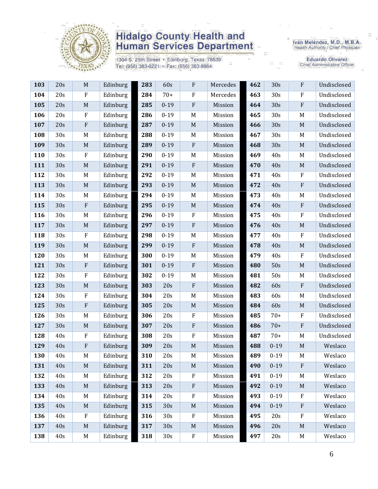

1304 S. 25th Street · Edinburg, Texas 78539 Tel: (956) 383-6221 · Fax: (956) 383-8864

Iván Meléndez, M.D., M.B.A.<br>Health Authority / Chief Physician

| 103 | 20s | $\mathbf M$ | Edinburg | 283 | 60s      | $\mathbf F$               | Mercedes | 462 | 30s      | $\mathbf{F}$ | Undisclosed |
|-----|-----|-------------|----------|-----|----------|---------------------------|----------|-----|----------|--------------|-------------|
| 104 | 20s | F           | Edinburg | 284 | $70+$    | $\boldsymbol{F}$          | Mercedes | 463 | 30s      | $\rm F$      | Undisclosed |
| 105 | 20s | $\mathbf M$ | Edinburg | 285 | $0 - 19$ | $\rm F$                   | Mission  | 464 | 30s      | $\rm F$      | Undisclosed |
| 106 | 20s | ${\bf F}$   | Edinburg | 286 | $0 - 19$ | M                         | Mission  | 465 | 30s      | M            | Undisclosed |
| 107 | 20s | ${\bf F}$   | Edinburg | 287 | $0 - 19$ | $\mathbf M$               | Mission  | 466 | 30s      | $\mathbf M$  | Undisclosed |
| 108 | 30s | M           | Edinburg | 288 | $0 - 19$ | M                         | Mission  | 467 | 30s      | M            | Undisclosed |
| 109 | 30s | $\mathbf M$ | Edinburg | 289 | $0 - 19$ | $\rm F$                   | Mission  | 468 | 30s      | M            | Undisclosed |
| 110 | 30s | $\rm F$     | Edinburg | 290 | $0 - 19$ | M                         | Mission  | 469 | 40s      | M            | Undisclosed |
| 111 | 30s | $\mathbf M$ | Edinburg | 291 | $0 - 19$ | ${\bf F}$                 | Mission  | 470 | 40s      | M            | Undisclosed |
| 112 | 30s | M           | Edinburg | 292 | $0 - 19$ | M                         | Mission  | 471 | 40s      | $\rm F$      | Undisclosed |
| 113 | 30s | $\mathbf M$ | Edinburg | 293 | $0 - 19$ | $\mathbf M$               | Mission  | 472 | 40s      | ${\bf F}$    | Undisclosed |
| 114 | 30s | M           | Edinburg | 294 | $0 - 19$ | $M_{\rm}$                 | Mission  | 473 | 40s      | M            | Undisclosed |
| 115 | 30s | ${\bf F}$   | Edinburg | 295 | $0 - 19$ | $\mathbf M$               | Mission  | 474 | 40s      | ${\bf F}$    | Undisclosed |
| 116 | 30s | M           | Edinburg | 296 | $0 - 19$ | $\rm F$                   | Mission  | 475 | 40s      | $\rm F$      | Undisclosed |
| 117 | 30s | $\mathbf M$ | Edinburg | 297 | $0 - 19$ | $\rm F$                   | Mission  | 476 | 40s      | $\mathbf M$  | Undisclosed |
| 118 | 30s | F           | Edinburg | 298 | $0 - 19$ | M                         | Mission  | 477 | 40s      | $\rm F$      | Undisclosed |
| 119 | 30s | $\mathbf M$ | Edinburg | 299 | $0 - 19$ | $\rm F$                   | Mission  | 478 | 40s      | $\mathbf M$  | Undisclosed |
| 120 | 30s | M           | Edinburg | 300 | $0 - 19$ | M                         | Mission  | 479 | 40s      | $\rm F$      | Undisclosed |
| 121 | 30s | ${\bf F}$   | Edinburg | 301 | $0 - 19$ | ${\bf F}$                 | Mission  | 480 | 50s      | $\mathbf M$  | Undisclosed |
| 122 | 30s | $\rm F$     | Edinburg | 302 | $0 - 19$ | M                         | Mission  | 481 | 50s      | M            | Undisclosed |
| 123 | 30s | $\mathbf M$ | Edinburg | 303 | 20s      | ${\bf F}$                 | Mission  | 482 | 60s      | $\rm F$      | Undisclosed |
| 124 | 30s | $\rm F$     | Edinburg | 304 | 20s      | M                         | Mission  | 483 | 60s      | M            | Undisclosed |
| 125 | 30s | ${\bf F}$   | Edinburg | 305 | 20s      | $\mathbf M$               | Mission  | 484 | 60s      | M            | Undisclosed |
| 126 | 30s | M           | Edinburg | 306 | 20s      | $\rm F$                   | Mission  | 485 | $70+$    | $\rm F$      | Undisclosed |
| 127 | 30s | M           | Edinburg | 307 | 20s      | $\boldsymbol{\mathrm{F}}$ | Mission  | 486 | $70+$    | ${\bf F}$    | Undisclosed |
| 128 | 40s | $\rm F$     | Edinburg | 308 | 20s      | $\rm F$                   | Mission  | 487 | $70+$    | M            | Undisclosed |
| 129 | 40s | ${\bf F}$   | Edinburg | 309 | 20s      | $\mathbf M$               | Mission  | 488 | $0 - 19$ | $\mathbf M$  | Weslaco     |
| 130 | 40s | M           | Edinburg | 310 | 20s      | M                         | Mission  | 489 | $0 - 19$ | M            | Weslaco     |
| 131 | 40s | $\mathbf M$ | Edinburg | 311 | 20s      | $\mathbf M$               | Mission  | 490 | $0 - 19$ | $\mathbf{F}$ | Weslaco     |
| 132 | 40s | M           | Edinburg | 312 | 20s      | $\mathbf F$               | Mission  | 491 | $0 - 19$ | M            | Weslaco     |
| 133 | 40s | $\mathbf M$ | Edinburg | 313 | 20s      | $\boldsymbol{\mathrm{F}}$ | Mission  | 492 | $0 - 19$ | M            | Weslaco     |
| 134 | 40s | M           | Edinburg | 314 | 20s      | $\rm F$                   | Mission  | 493 | $0 - 19$ | $\rm F$      | Weslaco     |
| 135 | 40s | $\mathbf M$ | Edinburg | 315 | 30s      | $\mathbf M$               | Mission  | 494 | $0 - 19$ | $\rm F$      | Weslaco     |
| 136 | 40s | $\rm F$     | Edinburg | 316 | 30s      | $\rm F$                   | Mission  | 495 | 20s      | $\rm F$      | Weslaco     |
| 137 | 40s | $\mathbf M$ | Edinburg | 317 | 30s      | $\mathbf M$               | Mission  | 496 | 20s      | M            | Weslaco     |
| 138 | 40s | M           | Edinburg | 318 | 30s      | ${\bf F}$                 | Mission  | 497 | 20s      | M            | Weslaco     |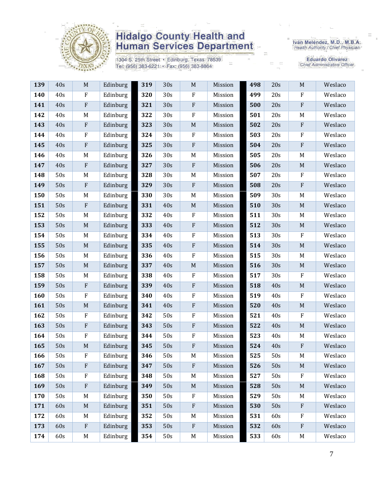

1304 S. 25th Street · Edinburg, Texas 78539 Tel: (956) 383-6221 · Fax: (956) 383-8864

Iván Meléndez, M.D., M.B.A.<br>Health Authority / Chief Physician

| 139 | 40s | $\mathbf M$               | Edinburg | 319 | 30s | $\mathbf M$               | Mission | 498 | 20s | $\mathbf M$ | Weslaco |
|-----|-----|---------------------------|----------|-----|-----|---------------------------|---------|-----|-----|-------------|---------|
| 140 | 40s | $\rm F$                   | Edinburg | 320 | 30s | $\rm F$                   | Mission | 499 | 20s | $\rm F$     | Weslaco |
| 141 | 40s | ${\bf F}$                 | Edinburg | 321 | 30s | $\rm F$                   | Mission | 500 | 20s | ${\bf F}$   | Weslaco |
| 142 | 40s | M                         | Edinburg | 322 | 30s | $\rm F$                   | Mission | 501 | 20s | M           | Weslaco |
| 143 | 40s | ${\bf F}$                 | Edinburg | 323 | 30s | $\mathbf M$               | Mission | 502 | 20s | ${\bf F}$   | Weslaco |
| 144 | 40s | ${\bf F}$                 | Edinburg | 324 | 30s | $\mathbf F$               | Mission | 503 | 20s | $\rm F$     | Weslaco |
| 145 | 40s | ${\bf F}$                 | Edinburg | 325 | 30s | ${\bf F}$                 | Mission | 504 | 20s | $\rm F$     | Weslaco |
| 146 | 40s | M                         | Edinburg | 326 | 30s | $\mathbf M$               | Mission | 505 | 20s | M           | Weslaco |
| 147 | 40s | $\boldsymbol{\mathrm{F}}$ | Edinburg | 327 | 30s | $\rm F$                   | Mission | 506 | 20s | $\mathbf M$ | Weslaco |
| 148 | 50s | M                         | Edinburg | 328 | 30s | M                         | Mission | 507 | 20s | $\rm F$     | Weslaco |
| 149 | 50s | ${\bf F}$                 | Edinburg | 329 | 30s | $\rm F$                   | Mission | 508 | 20s | $\rm F$     | Weslaco |
| 150 | 50s | $\mathbf M$               | Edinburg | 330 | 30s | M                         | Mission | 509 | 30s | M           | Weslaco |
| 151 | 50s | ${\bf F}$                 | Edinburg | 331 | 40s | $\mathbf M$               | Mission | 510 | 30s | $\mathbf M$ | Weslaco |
| 152 | 50s | $\mathbf M$               | Edinburg | 332 | 40s | $\rm F$                   | Mission | 511 | 30s | M           | Weslaco |
| 153 | 50s | $\mathbf M$               | Edinburg | 333 | 40s | $\rm F$                   | Mission | 512 | 30s | $\mathbf M$ | Weslaco |
| 154 | 50s | M                         | Edinburg | 334 | 40s | ${\bf F}$                 | Mission | 513 | 30s | $\rm F$     | Weslaco |
| 155 | 50s | $\mathbf M$               | Edinburg | 335 | 40s | $\rm F$                   | Mission | 514 | 30s | $\mathbf M$ | Weslaco |
| 156 | 50s | M                         | Edinburg | 336 | 40s | $\rm F$                   | Mission | 515 | 30s | M           | Weslaco |
| 157 | 50s | $\mathbf M$               | Edinburg | 337 | 40s | $\mathbf M$               | Mission | 516 | 30s | $\mathbf M$ | Weslaco |
| 158 | 50s | M                         | Edinburg | 338 | 40s | $\rm F$                   | Mission | 517 | 30s | $\rm F$     | Weslaco |
| 159 | 50s | ${\bf F}$                 | Edinburg | 339 | 40s | ${\bf F}$                 | Mission | 518 | 40s | $\mathbf M$ | Weslaco |
| 160 | 50s | ${\bf F}$                 | Edinburg | 340 | 40s | $\rm F$                   | Mission | 519 | 40s | $\rm F$     | Weslaco |
| 161 | 50s | $\mathbf M$               | Edinburg | 341 | 40s | $\rm F$                   | Mission | 520 | 40s | $\mathbf M$ | Weslaco |
| 162 | 50s | $\rm F$                   | Edinburg | 342 | 50s | $\rm F$                   | Mission | 521 | 40s | $\rm F$     | Weslaco |
| 163 | 50s | ${\bf F}$                 | Edinburg | 343 | 50s | $\rm F$                   | Mission | 522 | 40s | $\mathbf M$ | Weslaco |
| 164 | 50s | ${\bf F}$                 | Edinburg | 344 | 50s | $\rm F$                   | Mission | 523 | 40s | M           | Weslaco |
| 165 | 50s | $\mathbf M$               | Edinburg | 345 | 50s | $\boldsymbol{\mathrm{F}}$ | Mission | 524 | 40s | $\rm F$     | Weslaco |
| 166 | 50s | ${\bf F}$                 | Edinburg | 346 | 50s | M                         | Mission | 525 | 50s | M           | Weslaco |
| 167 | 50s | ${\bf F}$                 | Edinburg | 347 | 50s | $\mathbf{F}$              | Mission | 526 | 50s | $\mathbf M$ | Weslaco |
| 168 | 50s | F                         | Edinburg | 348 | 50s | M                         | Mission | 527 | 50s | F           | Weslaco |
| 169 | 50s | ${\bf F}$                 | Edinburg | 349 | 50s | $\mathbf M$               | Mission | 528 | 50s | M           | Weslaco |
| 170 | 50s | M                         | Edinburg | 350 | 50s | $\rm F$                   | Mission | 529 | 50s | M           | Weslaco |
| 171 | 60s | $\mathbf M$               | Edinburg | 351 | 50s | $\rm F$                   | Mission | 530 | 50s | $\rm F$     | Weslaco |
| 172 | 60s | M                         | Edinburg | 352 | 50s | M                         | Mission | 531 | 60s | F           | Weslaco |
| 173 | 60s | ${\bf F}$                 | Edinburg | 353 | 50s | $\rm F$                   | Mission | 532 | 60s | $\rm F$     | Weslaco |
| 174 | 60s | M                         | Edinburg | 354 | 50s | M                         | Mission | 533 | 60s | M           | Weslaco |